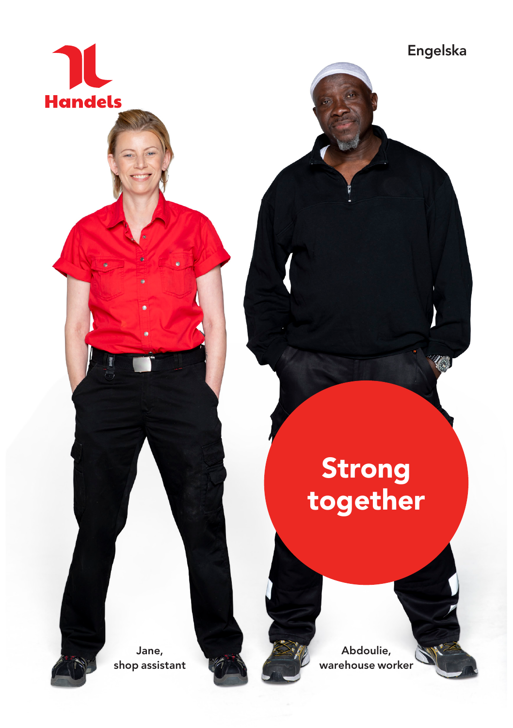

Strong together

Jane, shop assistant

Abdoulie, warehouse worker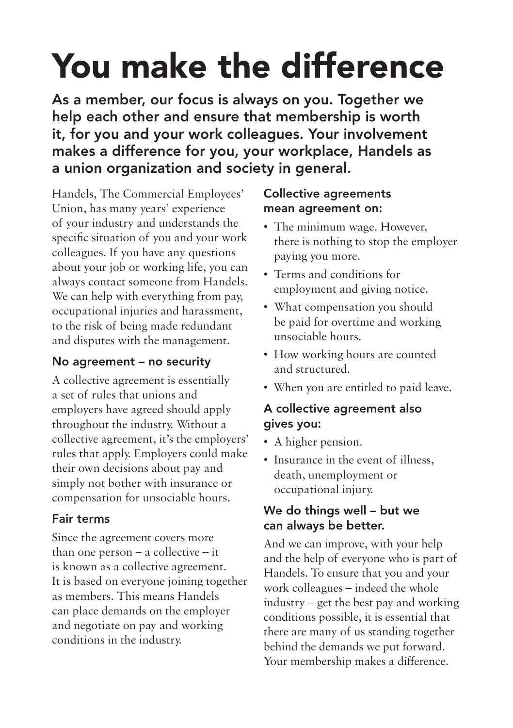# You make the difference

As a member, our focus is always on you. Together we help each other and ensure that membership is worth it, for you and your work colleagues. Your involvement makes a difference for you, your workplace, Handels as a union organization and society in general.

Handels, The Commercial Employees' Union, has many years' experience of your industry and understands the specific situation of you and your work colleagues. If you have any questions about your job or working life, you can always contact someone from Handels. We can help with everything from pay, occupational injuries and harassment, to the risk of being made redundant and disputes with the management.

#### No agreement – no security

A collective agreement is essentially a set of rules that unions and employers have agreed should apply throughout the industry. Without a collective agreement, it's the employers' rules that apply. Employers could make their own decisions about pay and simply not bother with insurance or compensation for unsociable hours.

### Fair terms

Since the agreement covers more than one person – a collective – it is known as a collective agreement. It is based on everyone joining together as members. This means Handels can place demands on the employer and negotiate on pay and working conditions in the industry.

#### Collective agreements mean agreement on:

- The minimum wage. However, there is nothing to stop the employer paying you more.
- Terms and conditions for employment and giving notice.
- What compensation you should be paid for overtime and working unsociable hours.
- How working hours are counted and structured.
- When you are entitled to paid leave.

#### A collective agreement also gives you:

- A higher pension.
- Insurance in the event of illness, death, unemployment or occupational injury.

#### We do things well – but we can always be better.

And we can improve, with your help and the help of everyone who is part of Handels. To ensure that you and your work colleagues – indeed the whole industry – get the best pay and working conditions possible, it is essential that there are many of us standing together behind the demands we put forward. Your membership makes a difference.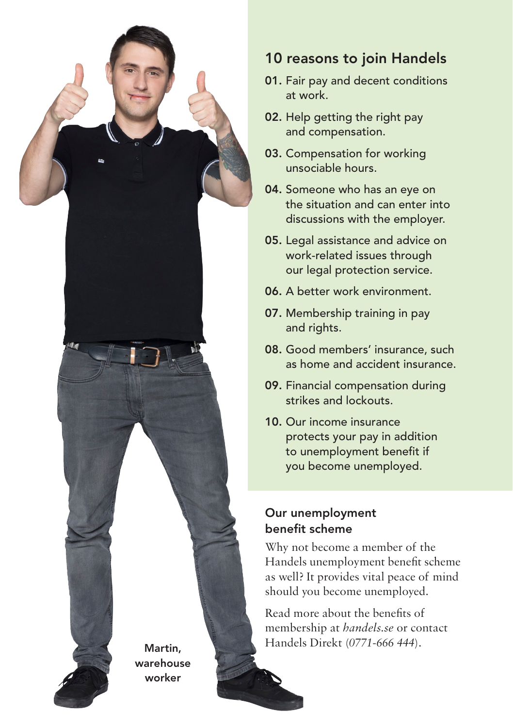

## 10 reasons to join Handels

- 01. Fair pay and decent conditions at work.
- 02. Help getting the right pay and compensation.
- 03. Compensation for working unsociable hours.
- 04. Someone who has an eye on the situation and can enter into discussions with the employer.
- 05. Legal assistance and advice on work-related issues through our legal protection service.
- 06. A better work environment.
- 07. Membership training in pay and rights.
- 08. Good members' insurance, such as home and accident insurance.
- 09. Financial compensation during strikes and lockouts.
- 10. Our income insurance protects your pay in addition to unemployment benefit if you become unemployed.

#### Our unemployment benefit scheme

Why not become a member of the Handels unemployment benefit scheme as well? It provides vital peace of mind should you become unemployed.

Read more about the benefits of membership at *[handels.se](http://handels.se)* or contact Handels Direkt (*0771-666 444*).